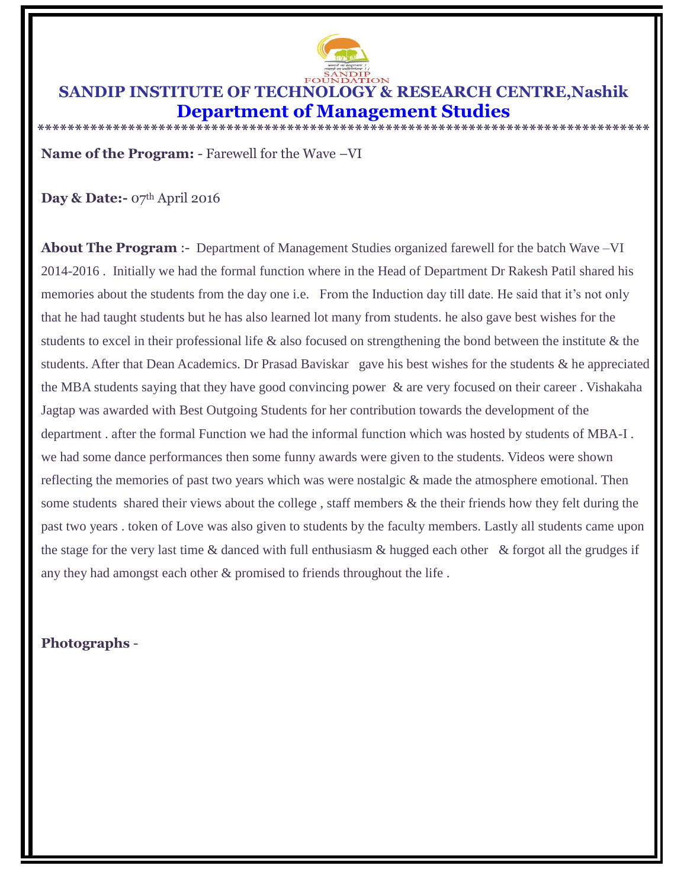

## **SANDIP INSTITUTE OF TECHNOLOGY & RESEARCH CENTRE,Nashik Department of Management Studies**

**\*\*\*\*\*\*\*\*\*\*\*\*\*\*\*\*\*\*\*\*\*\*\*\*\*\*\*\*\*\*\*\*\*\*\*\*\*\*\*\*\*\*\*\*\*\*\*\*\*\*\*\*\*\*\*\*\*\*\*\*\*\*\*\*\*\*\*\*\*\*\*\*\*\*\*\*\*\*\*\*\***

**Name of the Program:** - Farewell for the Wave –VI

**Day & Date:-** 07<sup>th</sup> April 2016

**About The Program** :- Department of Management Studies organized farewell for the batch Wave –VI 2014-2016 . Initially we had the formal function where in the Head of Department Dr Rakesh Patil shared his memories about the students from the day one i.e. From the Induction day till date. He said that it's not only that he had taught students but he has also learned lot many from students. he also gave best wishes for the students to excel in their professional life & also focused on strengthening the bond between the institute & the students. After that Dean Academics. Dr Prasad Baviskar gave his best wishes for the students & he appreciated the MBA students saying that they have good convincing power & are very focused on their career . Vishakaha Jagtap was awarded with Best Outgoing Students for her contribution towards the development of the department . after the formal Function we had the informal function which was hosted by students of MBA-I . we had some dance performances then some funny awards were given to the students. Videos were shown reflecting the memories of past two years which was were nostalgic & made the atmosphere emotional. Then some students shared their views about the college, staff members  $\&$  the their friends how they felt during the past two years . token of Love was also given to students by the faculty members. Lastly all students came upon the stage for the very last time  $\&$  danced with full enthusiasm  $\&$  hugged each other  $\&$  forgot all the grudges if any they had amongst each other & promised to friends throughout the life .

**Photographs** -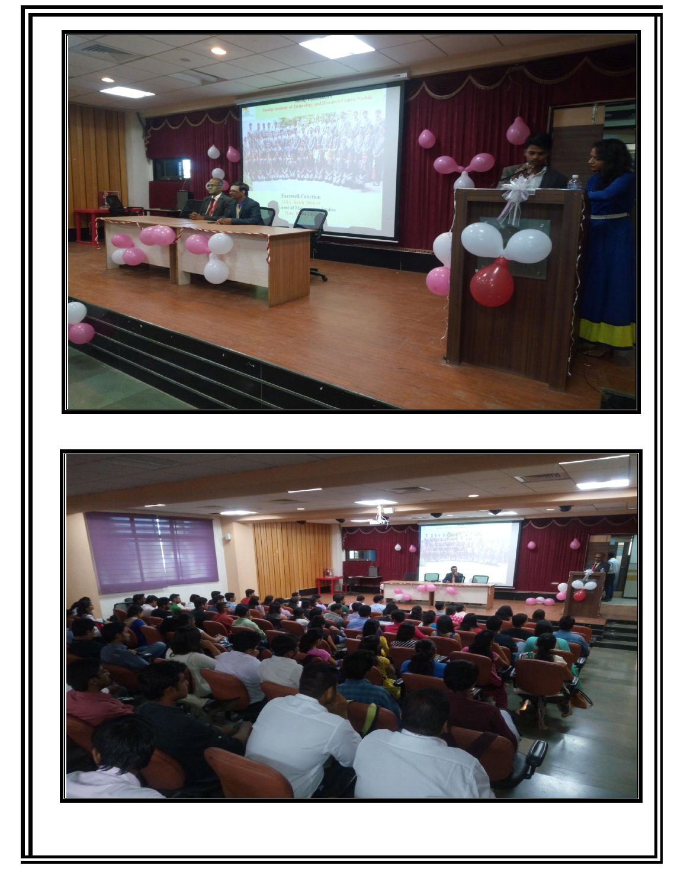